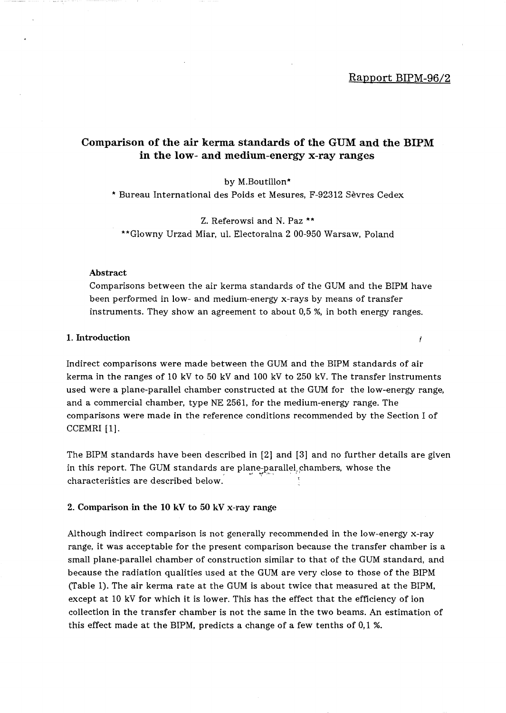$\mathcal{I}$ 

# Comparison of the air kerma standards of the GUM and the BIPM in the low- and medium-energy x-ray ranges

by M.Boutillon\*

\* Bureau International des Poids et Mesures, F-92312 Sevres Cedex

Z. Referowsi and N. Paz \*\* \*\* Glowny Urzad Miar, ul. Electoralna 2 00-950 Warsaw, Poland

### Abstract

Comparisons between the air kerma standards of the GUM and the BIPM have been performed in low- and medium-energy x-rays by means of transfer instruments. They show an agreement to about 0,5 %, in both energy ranges.

#### 1. Introduction

Indirect comparisons were made between the GUM and the BIPM standards of air kerma in the ranges of 10 kV to 50 kV and 100 kV to 250 kV. The transfer instruments used were a plane-parallel chamber constructed at the GUM for the low-energy range, and a commercial chamber, type NE 2561, for the medium-energy range. The comparisons were made in the reference conditions recommended by the Section I of CCEMRI [1).

The BIPM standards have been described in [2) and [3) and no further details are given in this report. The GUM standards are plane-parallel<sub>,</sub>chambers, whose the characteristics are described below. 1

## 2. Comparison in the 10 kV to 50 kV x-ray range

Although indirect comparison is not generally recommended in the low-energy x-ray range, it was acceptable for the present comparison because the transfer chamber is a small plane-parallel chamber of construction similar to that of the GUM standard, and because the radiation qualities used at the GUM are very close to those of the BIPM (Table 1). The air kerma rate at the GUM is about twice that measured at the BIPM, except at 10 kV for which it is lower. This has the effect that the efficiency of ion collection in the transfer chamber is not the same in the two beams. An estimation of this effect made at the BIPM, predicts a change of a few tenths of 0,1 %.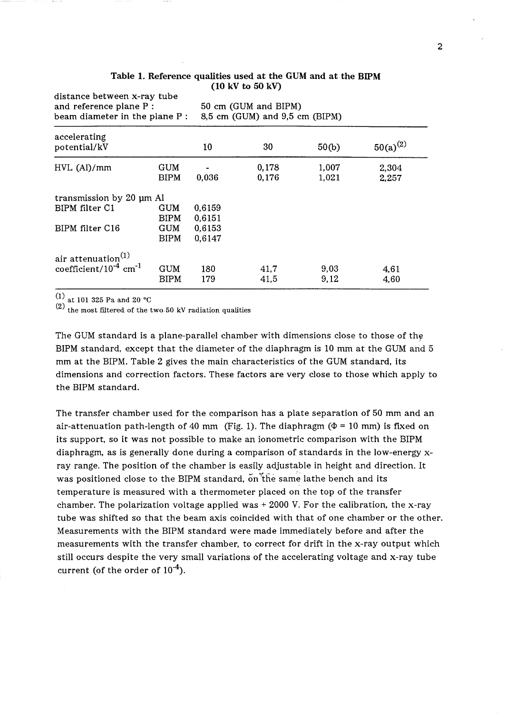| distance between x-ray tube<br>and reference plane P :<br>beam diameter in the plane $P:$ |                           |                  | 50 cm (GUM and BIPM)<br>8,5 cm (GUM) and 9,5 cm (BIPM) |                |                |
|-------------------------------------------------------------------------------------------|---------------------------|------------------|--------------------------------------------------------|----------------|----------------|
| accelerating<br>potential/kV                                                              |                           | 10               | 30                                                     | 50(b)          | $50(a)^{(2)}$  |
| $HVL$ (Al)/mm                                                                             | GUM<br><b>BIPM</b>        | 0,036            | 0,178<br>0,176                                         | 1,007<br>1,021 | 2,304<br>2,257 |
| transmission by 20 µm Al                                                                  |                           |                  |                                                        |                |                |
| BIPM filter C1                                                                            | GUM<br><b>BIPM</b>        | 0,6159<br>0,6151 |                                                        |                |                |
| BIPM filter C16                                                                           | <b>GUM</b><br><b>BIPM</b> | 0.6153<br>0,6147 |                                                        |                |                |
| air attenuation $(1)$                                                                     |                           |                  |                                                        |                |                |
| coefficient/ $10^{-4}$ cm <sup>-1</sup>                                                   | GUM<br>BIPM               | 180<br>179       | 41,7<br>41.5                                           | 9,03<br>9,12   | 4,61<br>4,60   |

### Table 1. Reference qualities used at the GUM and at the BIPM (10 kV to 50 kV)

(1) at 101 325 Pa and 20 ·C

 $(2)$  the most filtered of the two 50 kV radiation qualities

The GUM standard is a plane-parallel chamber with dimensions close to those of the BIPM standard, except that the diameter of the diaphragm is 10 mm at the GUM and 5 mm at the BIPM. Table 2 gives the main characteristics of the GUM standard, its dimensions and correction factors. These factors are very close to those which apply to the BIPM standard.

The transfer chamber used for the comparison has a plate separation of 50 mm and an air-attenuation path-length of 40 mm (Fig. 1). The diaphragm ( $\Phi$  = 10 mm) is fixed on its support, so it was not possible to make an ionometric comparison with the BIPM diaphragm, as is generally done during a comparison of standards in the low-energy xray range. The position of the chamber is easily adjustable in height and direction. It was positioned close to the BIPM standard, on the same lathe bench and its temperature is measured with a thermometer placed on the top of the transfer chamber. The polarization voltage applied was  $+$  2000 V. For the calibration, the x-ray tube was shifted so that the beam axis coincided with that of one chamber or the other. Measurements with the BIPM standard were made immediately before and after the measurements with the transfer chamber, to correct for drift in the x-ray output which still occurs despite the very small variations of the accelerating voltage and x-ray tube current (of the order of  $10^{-4}$ ).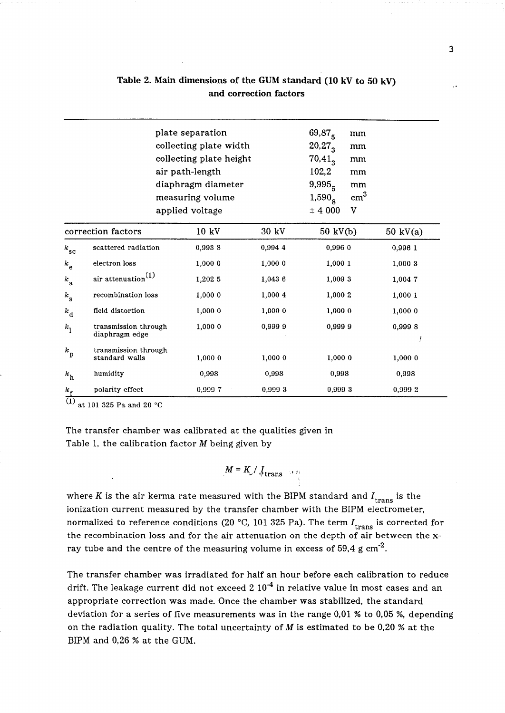|                |                                        | plate separation<br>collecting plate width<br>collecting plate height<br>air path-length<br>diaphragm diameter<br>measuring volume<br>applied voltage |         | $69,87_{5}$<br>mm<br>20,27,3<br>mm<br>$70.41_{\text{g}}$<br>mm<br>102,2<br>mm<br>9,995 <sub>5</sub><br>mm<br>cm <sup>3</sup><br>1,590 <sub>8</sub><br>$\pm$ 4 000<br>v |                    |
|----------------|----------------------------------------|-------------------------------------------------------------------------------------------------------------------------------------------------------|---------|------------------------------------------------------------------------------------------------------------------------------------------------------------------------|--------------------|
|                | correction factors                     | 10 kV                                                                                                                                                 | 30 kV   | 50 kV(b)                                                                                                                                                               | $50 \text{ kV(a)}$ |
| $k_{\rm sc}$   | scattered radiation                    | 0,9938                                                                                                                                                | 0,994 4 | 0,996 0                                                                                                                                                                | 0,996 1            |
| $k_{\rm e}$    | electron loss                          | 1,000 0                                                                                                                                               | 1,000 0 | 1,000 1                                                                                                                                                                | 1,0003             |
| $k_{\rm a}$    | air attenuation $(1)$                  | 1,202 5                                                                                                                                               | 1,043 6 | 1,009 3                                                                                                                                                                | 1,0047             |
| $k_{\rm s}$    | recombination loss                     | 1,000 0                                                                                                                                               | 1,000 4 | 1,000 2                                                                                                                                                                | 1,0001             |
| $k_{\rm d}$    | field distortion                       | 1,0000                                                                                                                                                | 1,0000  | 1,000 0                                                                                                                                                                | 1,0000             |
| k <sub>1</sub> | transmission through<br>diaphragm edge | 1,000 0                                                                                                                                               | 0,9999  | 0,9999                                                                                                                                                                 | 0,9998             |
| $k_{\rm p}$    | transmission through<br>standard walls | 1,0000                                                                                                                                                | 1,0000  | 1,0000                                                                                                                                                                 | 1,0000             |
| $k_{\rm h}$    | humidity                               | 0.998                                                                                                                                                 | 0.998   | 0,998                                                                                                                                                                  | 0,998              |
| $k_{\rm f}$    | polarity effect                        | 0,9997                                                                                                                                                | 0,999 3 | 0,9993                                                                                                                                                                 | 0,999 2            |

# Table 2. Main dimensions of the GUM standard (10 kV to 50 kV) and correction factors

 $(1)$  at 101 325 Pa and 20 °C

The transfer chamber was calibrated at the qualities given in Table 1, the calibration factor  $M$  being given by

$$
M = K_{\nu} / J_{\text{trans}} \rightarrow 1
$$

where K is the air kerma rate measured with the BIPM standard and  $I_{trans}$  is the ionization current measured by the transfer chamber with the BIPM electrometer, normalized to reference conditions (20 °C, 101 325 Pa). The term  $I_{trans}$  is corrected for the recombination loss and for the air attenuation on the depth of air between the xray tube and the centre of the measuring volume in excess of 59,4 g  $cm<sup>-2</sup>$ .

The transfer chamber was irradiated for half an hour before each calibration to reduce drift. The leakage current did not exceed 2  $10^{-4}$  in relative value in most cases and an appropriate correction was made. Once the chamber was stabilized, the standard deviation for a series of five measurements was in the range 0,01 % to 0,05 %, depending on the radiation quality. The total uncertainty of  $M$  is estimated to be 0,20 % at the BIPM and 0,26 % at the GUM.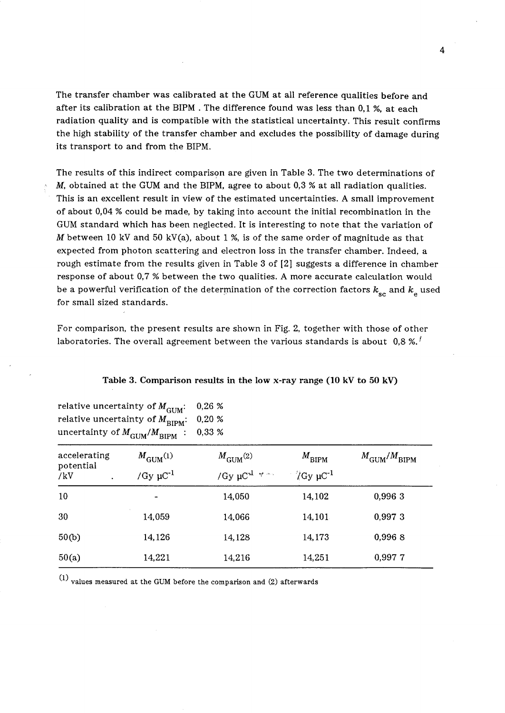The transfer chamber was calibrated at the GUM at all reference qualities before and after its calibration at the BIPM . The difference found was less than 0,1 %, at each radiation quality and is compatible with the statistical uncertainty. This result confirms the high stability of the transfer chamber and excludes the possibility of damage during its transport to and from the BIPM.

The results of this indirect comparison are given in Table 3. The two determinations of *M*, obtained at the GUM and the BIPM, agree to about 0,3 % at all radiation qualities. This is an excellent result in view of the estimated uncertainties. A small improvement of about 0,04 % could be made, by taking into account the initial recombination in the GUM standard which has been neglected. It is interesting to note that the variation of M between 10 kV and 50 kV(a), about 1 %, is of the same order of magnitude as that expected from photon scattering and electron loss in the transfer chamber. Indeed, a rough estimate from the results given in Table 3 of [2] suggests a difference in chamber response of about 0,7 % between the two qualities. A more accurate calculation would be a powerful verification of the determination of the correction factors  $k_{\rm sc}$  and  $k_{\rm e}$  used for small sized standards.

For comparison, the present results are shown in Fig. 2, together with those of other laboratories. The overall agreement between the various standards is about  $0.8 \times 10^{-1}$ 

| relative uncertainty of $M_{\text{BIPM}}$ :<br>uncertainty of $M_{\rm GUM}^{}/M_{\rm BIPM}^{ }$ : | <b>UUM</b>                                          | 0,20%<br>0,33 %                                                  |                                                    |                                  |
|---------------------------------------------------------------------------------------------------|-----------------------------------------------------|------------------------------------------------------------------|----------------------------------------------------|----------------------------------|
| accelerating<br>potential<br>/kV                                                                  | $M_{\text{GUM}}^{(1)}$<br>/Gy $\mu$ C <sup>-1</sup> | $M_{\text{GUM}}^{(2)}$<br>/Gy $\mu$ C <sup>3</sup> $\forall$ and | $M_{\text{BIPM}}$<br>$\gamma G$ y µC <sup>-1</sup> | $M_{\text{GUM}}/M_{\text{BIPM}}$ |
| 10                                                                                                |                                                     | 14,050                                                           | 14,102                                             | 0,996 3                          |
| 30                                                                                                | 14,059                                              | 14,066                                                           | 14,101                                             | 0,9973                           |
| 50(b)                                                                                             | 14,126                                              | 14,128                                                           | 14,173                                             | 0,9968                           |
| 50(a)                                                                                             | 14,221                                              | 14.216                                                           | 14,251                                             | 0,9977                           |

# Table 3. Comparison results in the low x-ray range (10 kV to 50 kV)

(1) values measured at the GUM before the comparison and (2) afterwards

relative uncertainty of  $M_{\text{CHM}}$   $\therefore$  0,26 %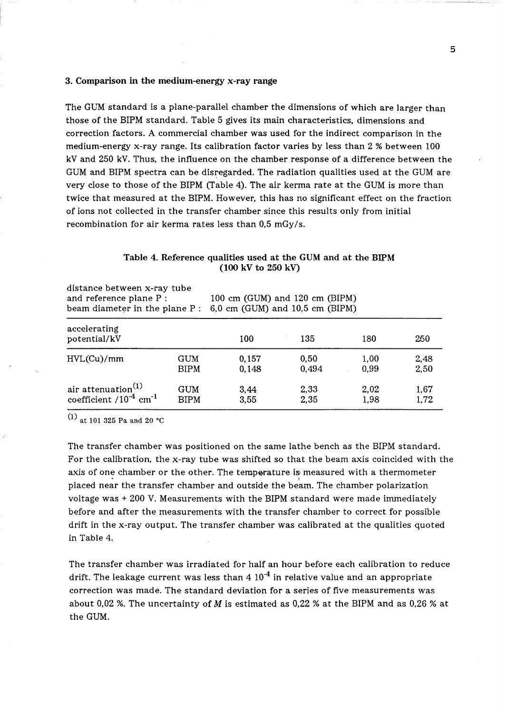#### 3. Comparison in the medium-energy x-ray range

The GUM standard is a plane-parallel chamber the dimensions of which are larger than those of the BIPM standard. Table 5 gives its main characteristics, dimensions and correction factors. A commercial chamber was used for the indirect comparison in the medium-energy x-ray range. Its calibration factor varies by less than 2 % between 100 kV and 250 kV. Thus, the influence on the chamber response of a difference between the GUM and BIPM spectra can be disregarded. The radiation qualities used at the GUM are very close to those of the BIPM (Table 4). The air kerma rate at the GUM is more than twice that measured at the BIPM. However, this has no significant effect on the fraction of ions not collected in the transfer chamber since this results only from initial recombination for air kerma rates less than 0,5 mGy/s.

| distance between x-ray tube<br>and reference plane P :<br>beam diameter in the plane P : |             | 100 cm (GUM) and 120 cm (BIPM)<br>6,0 cm (GUM) and $10,5$ cm (BIPM) |       |      |      |  |
|------------------------------------------------------------------------------------------|-------------|---------------------------------------------------------------------|-------|------|------|--|
| accelerating<br>potential/kV                                                             |             | 100                                                                 | 135   | 180  | 250  |  |
| HVL(Cu)/mm                                                                               | <b>GUM</b>  | 0.157                                                               | 0,50  | 1,00 | 2,48 |  |
|                                                                                          | <b>BIPM</b> | 0.148                                                               | 0,494 | 0,99 | 2,50 |  |
| air attenuation <sup>(1)</sup>                                                           | GUM         | 3,44                                                                | 2,33  | 2,02 | 1,67 |  |
| coefficient $/10^{-4}$ cm <sup>-1</sup>                                                  | <b>BIPM</b> | 3,55                                                                | 2,35  | 1.98 | 1,72 |  |

# Table 4. Reference qualities used at the GUM and at the BIPM (100 kV to 250 kV)

 $(1)$  at 101 325 Pa and 20 °C

The transfer chamber was positioned on the same lathe bench as the BIPM standard. For the calibration, the x-ray tube was shifted so that the beam axis coincided with the axis of one chamber or the other. The temperature is measured with a thermometer placed near the transfer chamber and outside the beam. The chamber polarization voltage was + 200 V. Measurements with the BIPM standard were made immediately before and after the measurements with the transfer chamber to correct for possible drift in the x-ray output. The transfer chamber was calibrated at the qualities quoted in Table 4.

The transfer chamber was irradiated for half an hour before each calibration to reduce drift. The leakage current was less than  $4\ 10^{-4}$  in relative value and an appropriate correction was made. The standard deviation for a series of five measurements was about 0,02 %. The uncertainty of M is estimated as 0,22 % at the BIPM and as 0,26 % at the GUM.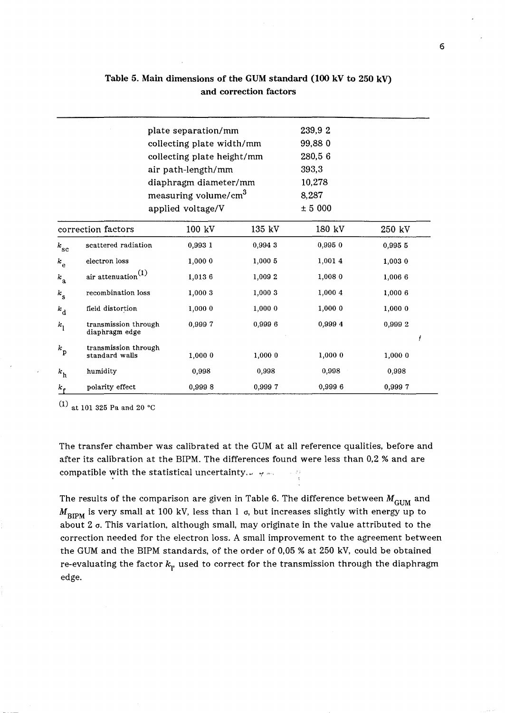| 239,92<br>plate separation/mm<br>99,880<br>collecting plate width/mm<br>280,56<br>collecting plate height/mm<br>393,3<br>air path-length/mm<br>10,278<br>diaphragm diameter/mm<br>measuring volume/cm <sup>3</sup><br>8,287<br>± 5000<br>applied voltage/V<br>180 kV<br>correction factors<br>100 kV<br>135 kV<br>250 kV<br>0,995 0<br>scattered radiation<br>0,993 1<br>0,9943<br>0,995 5<br>$k_{\rm sc}$<br>electron loss<br>1,000 0<br>1,000 5<br>1,001 4<br>1,0030<br>$k_{\rm e}$<br>air attenuation $^{(1)}$<br>1,0136<br>1.009 2<br>1,008 0<br>1,006 6<br>$k_{\rm a}$<br>recombination loss<br>1,000 3<br>1,000 4<br>1,000 6<br>1,000 3<br>$k_{\rm s}$<br>1,0000<br>field distortion<br>1,000 0<br>1,0000<br>1,0000<br>$k_{\rm d}$<br>0,9997<br>0,9996<br>0,999 4<br>0.9992<br>transmission through<br>$k_{1}$<br>diaphragm edge |  |  |  |  |  |  |  |
|----------------------------------------------------------------------------------------------------------------------------------------------------------------------------------------------------------------------------------------------------------------------------------------------------------------------------------------------------------------------------------------------------------------------------------------------------------------------------------------------------------------------------------------------------------------------------------------------------------------------------------------------------------------------------------------------------------------------------------------------------------------------------------------------------------------------------------------|--|--|--|--|--|--|--|
|                                                                                                                                                                                                                                                                                                                                                                                                                                                                                                                                                                                                                                                                                                                                                                                                                                        |  |  |  |  |  |  |  |
|                                                                                                                                                                                                                                                                                                                                                                                                                                                                                                                                                                                                                                                                                                                                                                                                                                        |  |  |  |  |  |  |  |
|                                                                                                                                                                                                                                                                                                                                                                                                                                                                                                                                                                                                                                                                                                                                                                                                                                        |  |  |  |  |  |  |  |
|                                                                                                                                                                                                                                                                                                                                                                                                                                                                                                                                                                                                                                                                                                                                                                                                                                        |  |  |  |  |  |  |  |
|                                                                                                                                                                                                                                                                                                                                                                                                                                                                                                                                                                                                                                                                                                                                                                                                                                        |  |  |  |  |  |  |  |
|                                                                                                                                                                                                                                                                                                                                                                                                                                                                                                                                                                                                                                                                                                                                                                                                                                        |  |  |  |  |  |  |  |
|                                                                                                                                                                                                                                                                                                                                                                                                                                                                                                                                                                                                                                                                                                                                                                                                                                        |  |  |  |  |  |  |  |
|                                                                                                                                                                                                                                                                                                                                                                                                                                                                                                                                                                                                                                                                                                                                                                                                                                        |  |  |  |  |  |  |  |
|                                                                                                                                                                                                                                                                                                                                                                                                                                                                                                                                                                                                                                                                                                                                                                                                                                        |  |  |  |  |  |  |  |
|                                                                                                                                                                                                                                                                                                                                                                                                                                                                                                                                                                                                                                                                                                                                                                                                                                        |  |  |  |  |  |  |  |
|                                                                                                                                                                                                                                                                                                                                                                                                                                                                                                                                                                                                                                                                                                                                                                                                                                        |  |  |  |  |  |  |  |
|                                                                                                                                                                                                                                                                                                                                                                                                                                                                                                                                                                                                                                                                                                                                                                                                                                        |  |  |  |  |  |  |  |
|                                                                                                                                                                                                                                                                                                                                                                                                                                                                                                                                                                                                                                                                                                                                                                                                                                        |  |  |  |  |  |  |  |
|                                                                                                                                                                                                                                                                                                                                                                                                                                                                                                                                                                                                                                                                                                                                                                                                                                        |  |  |  |  |  |  |  |
| transmission through<br>$k_{\rm p}$<br>1,0000<br>1,0000<br>1,0000<br>standard walls<br>1,0000                                                                                                                                                                                                                                                                                                                                                                                                                                                                                                                                                                                                                                                                                                                                          |  |  |  |  |  |  |  |
| 0,998<br>humidity<br>0,998<br>0,998<br>0,998<br>$k_{\rm h}$                                                                                                                                                                                                                                                                                                                                                                                                                                                                                                                                                                                                                                                                                                                                                                            |  |  |  |  |  |  |  |
| 0,9998<br>0,999 7<br>0,999 6<br>0,9997<br>polarity effect<br>$k_{\rm f}$                                                                                                                                                                                                                                                                                                                                                                                                                                                                                                                                                                                                                                                                                                                                                               |  |  |  |  |  |  |  |

# Table 5. Main dimensions of the GUM standard (100 kV to 250 kV) and correction factors

 $(1)$  at 101 325 Pa and 20 °C

The transfer chamber was calibrated at the GUM at all reference qualities, before and after its calibration at the BIPM. The differences found were less than 0,2 % and are compatible with the statistical uncertainty.  $\downarrow$   $\sim$  $1 - 2^{i} i$ 

The results of the comparison are given in Table 6. The difference between  $M_{\text{GUM}}$  and  $M_{\text{BIPM}}$  is very small at 100 kV, less than 1  $\sigma$ , but increases slightly with energy up to about  $2$   $\sigma$ . This variation, although small, may originate in the value attributed to the correction needed for the electron loss. A small improvement to the agreement between the GUM and the BIPM standards, of the order of 0,05 % at 250 kV, could be obtained re-evaluating the factor  $k<sub>p</sub>$  used to correct for the transmission through the diaphragm edge.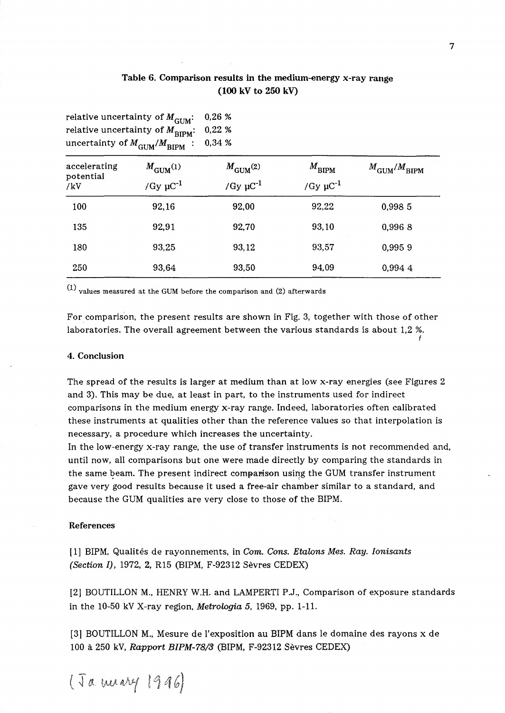# Table 6. Comparison results in the medium-energy x-ray range (100 kV to 250 kV)

|                                  | relative uncertainty of $M^{\rm GUM}$ :<br>relative uncertainty of $M_{\rm BIPM}$ :<br>uncertainty of $M_{\rm GUM}/M_{\rm BIPM}$ : | 0,26 %<br>0,22%<br>0,34%                            |                                                |                                  |
|----------------------------------|------------------------------------------------------------------------------------------------------------------------------------|-----------------------------------------------------|------------------------------------------------|----------------------------------|
| accelerating<br>potential<br>/kV | $M_{\text{GUM}}(1)$<br>/Gy $\mu$ C <sup>-1</sup>                                                                                   | $M_{\text{GUM}}^{(2)}$<br>/Gy $\mu$ C <sup>-1</sup> | $M_{\text{BIPM}}$<br>/Gy $\mu$ C <sup>-1</sup> | $M_{\text{GUM}}/M_{\text{BIPM}}$ |
| 100                              | 92,16                                                                                                                              | 92,00                                               | 92,22                                          | 0,998 5                          |
| 135                              | 92,91                                                                                                                              | 92,70                                               | 93.10                                          | 0,9968                           |
| 180                              | 93,25                                                                                                                              | 93,12                                               | 93,57                                          | 0,9959                           |
| 250                              | 93,64                                                                                                                              | 93,50                                               | 94,09                                          | 0.994 4                          |

(1) values measured at the GUM before the comparison and (2) afterwards

For comparison, the present results are shown in Fig. 3, together with those of other laboratories. The overall agreement between the various standards is about 1,2 %.

## 4. Conclusion

The spread of the results is larger at medium than at low x-ray energies (see Figures 2 and 3). This may be due, at least in part, to the instruments used for indirect comparisons in the medium energy x-ray range. Indeed, laboratories often calibrated these instruments at qualities other than the reference values so that interpolation is necessary, a procedure which increases the uncertainty.

In the low-energy x-ray range, the use of transfer instruments is not recommended and, until now, all comparisons but one were made directly by comparing the standards in the same beam. The present indirect comparison using the GUM transfer instrument gave very good results because it used a free-air chamber similar to a standard, and because the GUM qualities are very close to those of the BIPM.

### References

[1] BIPM, Qualites de rayonnements, in *Com. Cons. Etalons Mes. Ray. Ionisants (Section I),* 1972, 2, R15 (BIPM, F-92312 Sevres CEDEX)

[2] BOUTILLON M., HENRY W.H. and LAMPERTI P.J., Comparison of exposure standards in the 10-50 kV X-ray region, *Metrologia* 5, 1969, pp. 1-11.

[3] BOUTILLON M., Mesure de l'exposition au BIPM dans le domaine des rayons x de 100 a 250 kV, *Rapport BIPM-78/3* (BIPM, F-92312 Sevres CEDEX)

(

(Ja mary 1916)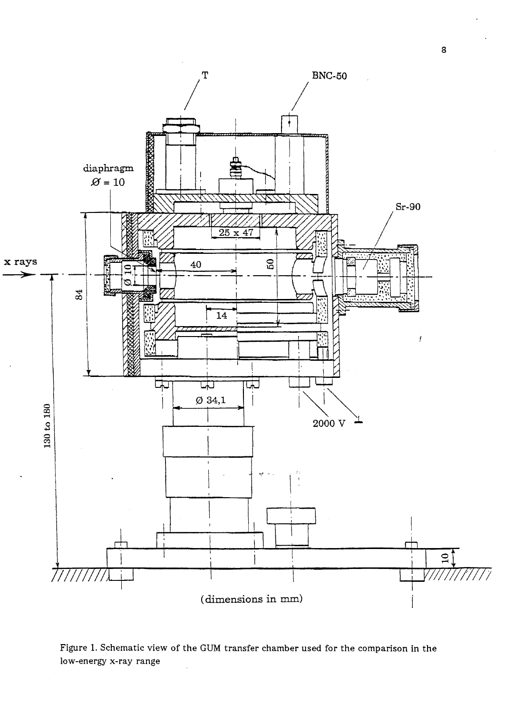

Figure 1. Schematic view of the GUM transfer chamber used for the comparison in the low-energy x-ray range

8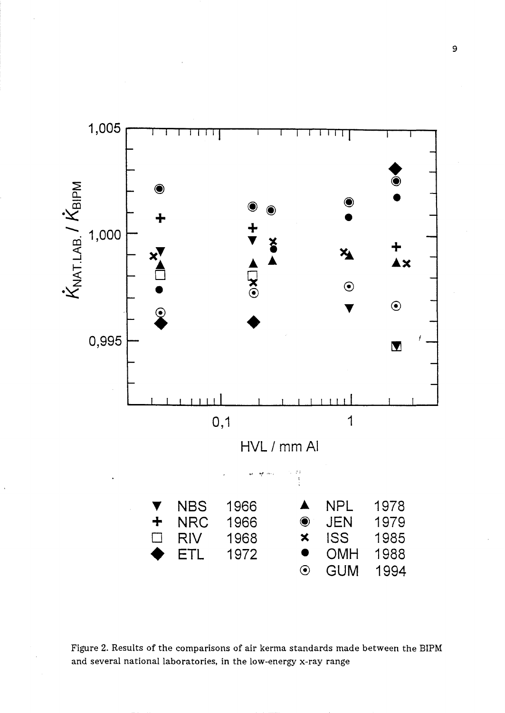

Figure 2. Results of the comparisons of air kerma standards made between the BIPM and several national laboratories, in the low-energy x-ray range